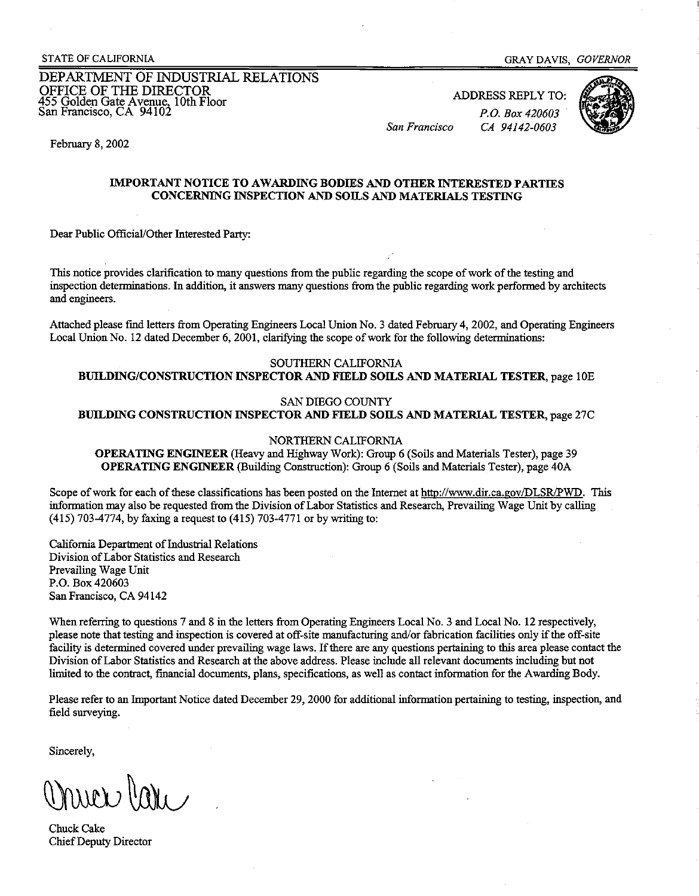DEPARTMENT OF INDUSTRIAL RELATIONS OFFICE OF THE DIRECTOR 455 Golden Gate Avenue, 10th Floor San Francisco, CA 94102

ADDRESS REPLY TO: *P.O. Box 420603 San Francisco CA 94142-0603* 



February 8, 2002

#### **IMPORTANT NOTICE TO AWARDING BODIES AND OTHER INTERESTED PARTIES CONCERNING INSPECTION AND SOILS AND MATERIALS TESTING**

Dear Public Official/Other Interested Party:

This notice provides clarification to many questions from the public regarding the scope ofwork ofthe testing and inspection determinations. In addition, it answers many questions from the public regarding work performed by architects and engineers.

Attached please find letters from Operating Engineers Local Union No. 3 dated February 4, 2002, and Operating Engineers Local Union No. 12 dated December 6, 2001, clarifying the scope of work for the following determinations:

# SOUTHERN CALIFORNIA

**BUILDING/CONSTRUCTION INSPECTOR AND F1ELD SOILS AND MATERIAL TESTER,** page !OE

#### SAN DIEGO COUNTY

**BUILDING CONSTRUCTION INSPECTOR AND FIELD SOILS AND MATERIAL TESTER,** page 27C

#### NORTHERN CALIFORNIA

**OPERATING ENGINEER** (Heavy and Highway Work): Group 6 (Soils and Materials Tester), page 39 **OPERATING ENGINEER** (Building Constmction): Group 6 (Soils and Materials Tester), page 40A

Scope of work for each of these classifications has been posted on the Internet at <http://www.dir.ca.gov/DLSR/PWD>. This information may also be requested from the Division of Labor Statistics and Research, Prevailing Wage Unit by calling (415) 703-4774, by faxing a request to (415) 703-4771 or by writing to:

California Department of Industrial Relations Division ofLabor Statistics and Research Prevailing Wage Unit P.O. Box 420603 San Francisco, CA 94142

When referring to questions 7 and 8 in the letters from Operating Engineers Local No. 3 and Local No. 12 respectively, please note that testing and inspection is covered at off-site manufacturing and/or fabrication facilities only if the off-site facility is determined covered under prevailing wage laws. If there are any questions pertaining to this area please contact the Division ofLabor Statistics and Research at the above address. Please include all relevant documents including but not limited to the contract, financial documents, plans, specifications, as well as contact information for the Awarding Body.

Please refer to an Importaut Notice dated December 29, 2000 for additional information pertaining to testing, inspection, and field surveying.

Sincerely,

Chuck Cake Chief Deputy Director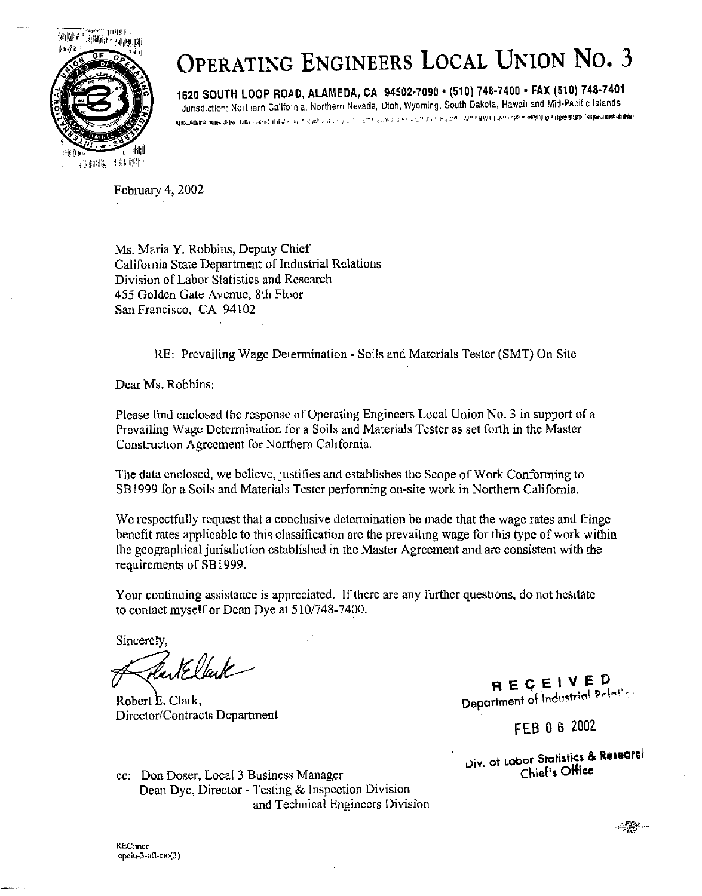

# **OPERATING ENGINEERS LOCAL UNION No. 3**

**1620 SOUTH LOOP ROAD, ALAMEDA, CA 94502-7090** • **(510) 748-7400** • **FAX (510) 748-7401**  Jurisdiction: Northern Califo-111a, Northern Nevada, Utah, Wyoming, South Dakota, Hawaii and Mid-Pacific Islands<br>application: Alife-1116, Application of Application of The Constitution of Estimation of the Mid-Pacific Isla

February 4, 2002

Ms. Maria **Y.** Robbins, Deputy Chief California State Department of Industrial Relations Division of Labor Statistics and Research 455 Golden Gate Avenue, 8th Floor San Francisco, CA 94102

RE; Prevailing Wage Determination - Soils and Materials Tester (SMT) On Site

Dear Ms. Robbins;

Please find enclosed the response- of Operating Engineers Local Union No. 3 in support of a Prevailing Wage Determination for a Soils and Materials Tester as set forth in the Master Construction Agreement for Northern California.

The data enclosed, we believe, justifies and establishes the Scope of Work Conforming to SB1999 for a Soils and Materials Tester performing on-site work in Northern California.

We respectfully request that a conclusive determination be made that the wage rates and fringe benefit rates applicable to this classification arc the prevailing wage for this type of work within the geographical jurisdiction csu,blished in the Master Agreement and arc consistent with the requirements of SB1999.

Your continuing assistance is appreciated. If there are any further questions, do not hesitate to contact myself or Dean Dye at 510/748-7400.

Sincerely,

Partellak

Robert E. Clark. Director/Contracts Department

**REGEIVED.**<br>Department of Industrial Relation

FEB O 6 2002

. t Labor Statistic, & **R111circl**  .;iv. 0 Off' Chief's **ice** 

cc: Don Doser, Local 3 Business Manager Dean Dye, Director - Testing & Inspection Oivision and Technical Engineers Division

REC:mer opciu-3-afl-ciο(3)  $-5.5$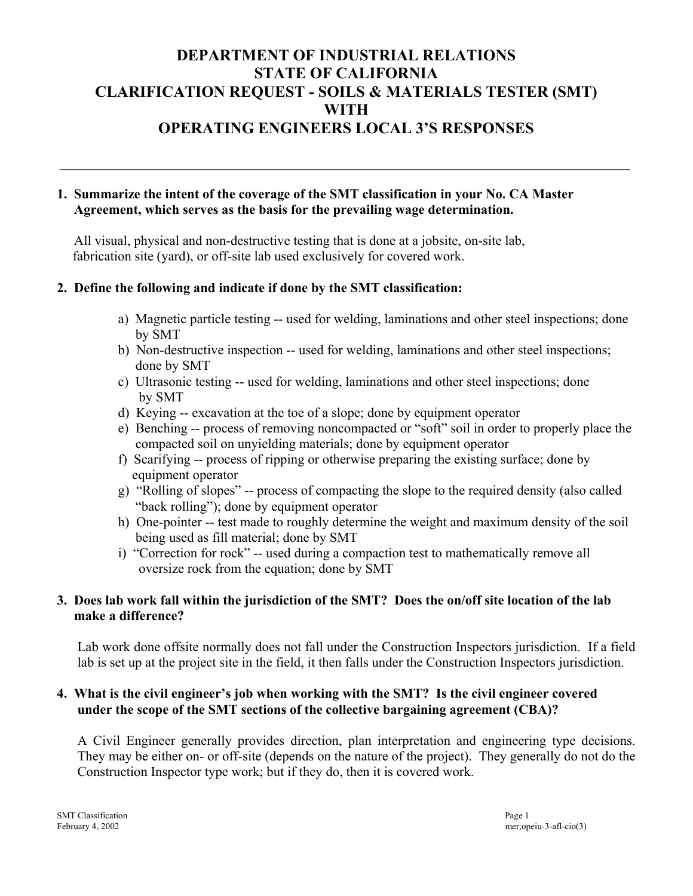# **DEPARTMENT OF INDUSTRIAL RELATIONS STATE OF CALIFORNIA CLARIFICATION REQUEST - SOILS & MATERIALS TESTER (SMT) WITH OPERATING ENGINEERS LOCAL 3'S RESPONSES**

**\_\_\_\_\_\_\_\_\_\_\_\_\_\_\_\_\_\_\_\_\_\_\_\_\_\_\_\_\_\_\_\_\_\_\_\_\_\_\_\_\_\_\_\_\_\_\_\_\_\_\_\_\_\_\_\_\_\_\_\_\_\_\_\_\_\_\_\_\_\_\_\_\_\_\_\_\_\_\_\_\_\_\_\_** 

# **1. Summarize the intent of the coverage of the SMT classification in your No. CA Master Agreement, which serves as the basis for the prevailing wage determination.**

All visual, physical and non-destructive testing that is done at a jobsite, on-site lab, fabrication site (yard), or off-site lab used exclusively for covered work.

# **2. Define the following and indicate if done by the SMT classification:**

- a) Magnetic particle testing -- used for welding, laminations and other steel inspections; done by SMT
- b) Non-destructive inspection -- used for welding, laminations and other steel inspections; done by SMT
- c) Ultrasonic testing -- used for welding, laminations and other steel inspections; done by SMT
- d) Keying -- excavation at the toe of a slope; done by equipment operator
- e) Benching -- process of removing noncompacted or "soft" soil in order to properly place the compacted soil on unyielding materials; done by equipment operator
- f) Scarifying -- process of ripping or otherwise preparing the existing surface; done by equipment operator
- g) "Rolling of slopes" -- process of compacting the slope to the required density (also called "back rolling"); done by equipment operator
- h) One-pointer -- test made to roughly determine the weight and maximum density of the soil being used as fill material; done by SMT
- i) "Correction for rock" -- used during a compaction test to mathematically remove all oversize rock from the equation; done by SMT

# **3. Does lab work fall within the jurisdiction of the SMT? Does the on/off site location of the lab make a difference?**

Lab work done offsite normally does not fall under the Construction Inspectors jurisdiction. If a field lab is set up at the project site in the field, it then falls under the Construction Inspectors jurisdiction.

# **4. What is the civil engineer's job when working with the SMT? Is the civil engineer covered under the scope of the SMT sections of the collective bargaining agreement (CBA)?**

A Civil Engineer generally provides direction, plan interpretation and engineering type decisions. They may be either on- or off-site (depends on the nature of the project). They generally do not do the Construction Inspector type work; but if they do, then it is covered work.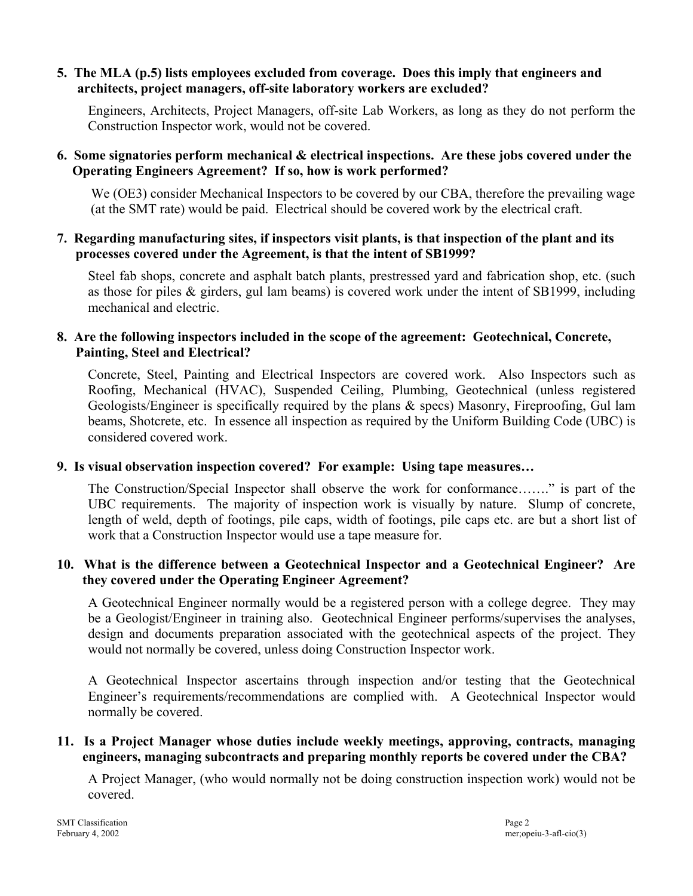#### **5. The MLA (p.5) lists employees excluded from coverage. Does this imply that engineers and architects, project managers, off-site laboratory workers are excluded?**

Engineers, Architects, Project Managers, off-site Lab Workers, as long as they do not perform the Construction Inspector work, would not be covered.

# **6. Some signatories perform mechanical & electrical inspections. Are these jobs covered under the Operating Engineers Agreement? If so, how is work performed?**

We (OE3) consider Mechanical Inspectors to be covered by our CBA, therefore the prevailing wage (at the SMT rate) would be paid. Electrical should be covered work by the electrical craft.

#### **7. Regarding manufacturing sites, if inspectors visit plants, is that inspection of the plant and its processes covered under the Agreement, is that the intent of SB1999?**

Steel fab shops, concrete and asphalt batch plants, prestressed yard and fabrication shop, etc. (such as those for piles & girders, gul lam beams) is covered work under the intent of SB1999, including mechanical and electric.

#### **8. Are the following inspectors included in the scope of the agreement: Geotechnical, Concrete, Painting, Steel and Electrical?**

Concrete, Steel, Painting and Electrical Inspectors are covered work. Also Inspectors such as Roofing, Mechanical (HVAC), Suspended Ceiling, Plumbing, Geotechnical (unless registered Geologists/Engineer is specifically required by the plans & specs) Masonry, Fireproofing, Gul lam beams, Shotcrete, etc. In essence all inspection as required by the Uniform Building Code (UBC) is considered covered work.

# **9. Is visual observation inspection covered? For example: Using tape measures…**

The Construction/Special Inspector shall observe the work for conformance……." is part of the UBC requirements. The majority of inspection work is visually by nature. Slump of concrete, length of weld, depth of footings, pile caps, width of footings, pile caps etc. are but a short list of work that a Construction Inspector would use a tape measure for.

# **10. What is the difference between a Geotechnical Inspector and a Geotechnical Engineer? Are they covered under the Operating Engineer Agreement?**

A Geotechnical Engineer normally would be a registered person with a college degree. They may be a Geologist/Engineer in training also. Geotechnical Engineer performs/supervises the analyses, design and documents preparation associated with the geotechnical aspects of the project. They would not normally be covered, unless doing Construction Inspector work.

A Geotechnical Inspector ascertains through inspection and/or testing that the Geotechnical Engineer's requirements/recommendations are complied with. A Geotechnical Inspector would normally be covered.

# **11. Is a Project Manager whose duties include weekly meetings, approving, contracts, managing engineers, managing subcontracts and preparing monthly reports be covered under the CBA?**

A Project Manager, (who would normally not be doing construction inspection work) would not be covered.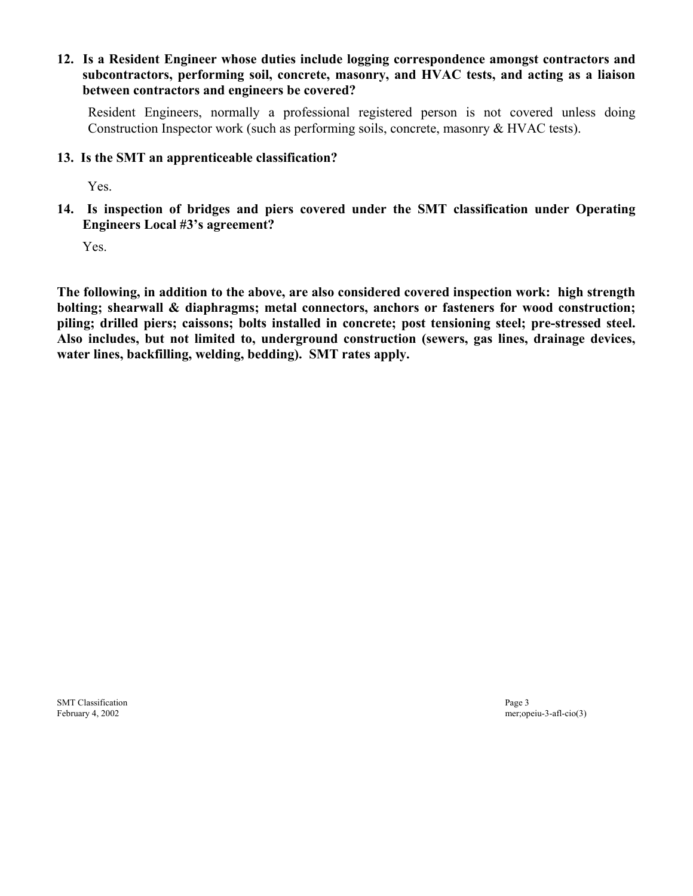#### **12. Is a Resident Engineer whose duties include logging correspondence amongst contractors and subcontractors, performing soil, concrete, masonry, and HVAC tests, and acting as a liaison between contractors and engineers be covered?**

Resident Engineers, normally a professional registered person is not covered unless doing Construction Inspector work (such as performing soils, concrete, masonry & HVAC tests).

#### **13. Is the SMT an apprenticeable classification?**

Yes.

**14. Is inspection of bridges and piers covered under the SMT classification under Operating Engineers Local #3's agreement?** 

Yes.

piling; drilled piers; caissons; bolts installed in concrete; post tensioning steel; pre-stressed steel. **The following, in addition to the above, are also considered covered inspection work: high strength bolting; shearwall & diaphragms; metal connectors, anchors or fasteners for wood construction;**  Also includes, but not limited to, underground construction (sewers, gas lines, drainage devices, **water lines, backfilling, welding, bedding). SMT rates apply.** 

SMT Classification **Page 3** 

February 4, 2002 mer;opeiu-3-afl-cio(3)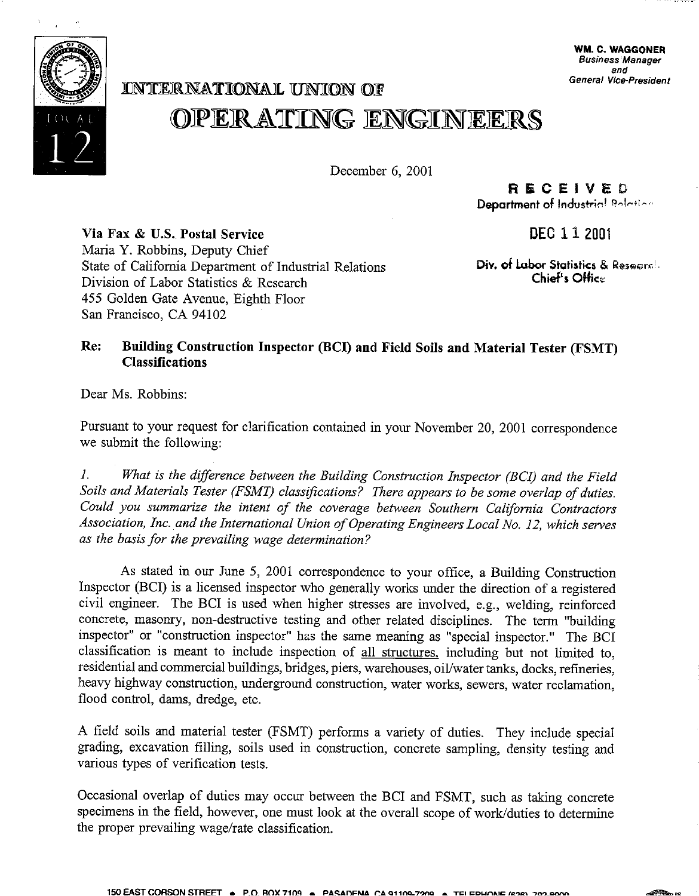

# **General Vice-President JCN1t['JEJR..NA](https://JCN1t)'.I'JUONAJL UNlCON OJF OPERAYJINGENGINEER§**

December 6, 2001

**Rl!iiCEIVEO Department of Industrial Relation** 

**DEC 112001** 

**Via Fax & U.S. Postal Service**  Maria Y. Robbins, Deputy Chief State of California Department of Industrial Relations Division of Labor Statistics & Research 455 Golden Gate Avenue, Eighth Floor San Francisco, CA 94102

**Div. of Labor Statistics & Research. Chief's Offic~**

# **Re: Building Construction Inspector (BCI) and Field Soils and Material Tester (FSMT) Classifications**

Dear Ms. Robbins:

Pursuant to your request for clarification contained in your November 20, 2001 correspondence we submit the following:

J. *What is the difference between the Building Construction Inspector (BCI) and the Field Soils and Materials Tester (FSMT) classifications? There appears to be some overlap of duties. Could you summarize the intent of the coverage between Southern California Contractors*  Association, Inc. and the International Union of Operating Engineers Local No. 12, which serves *as the basis for the prevailing wage determination?* 

As stated in our June 5, 2001 correspondence to your office, a Building Construction Inspector (BCI) is a licensed inspector who generally works under the direction of a registered civil engineer. The BCI is used when higher stresses are involved, e.g., welding, reinforced concrete, masonry, non-destructive testing and other related disciplines. The term "building inspector" or "construction inspector" has the same meaning as "special inspector." The BCI classification is meant to include inspection of all structures, including but not limited to, residential and commercial buildings, bridges, piers, warehouses, oil/water tanks, docks, refineries, heavy highway construction, underground construction, water works, sewers, water reclamation, flood control, dams, dredge, etc.

A field soils and material tester (FSMT) performs a variety of duties. They include special grading, excavation filling, soils used in construction, concrete sampling, density testing and various types of verification tests.

Occasional overlap of duties may occur between the BCI and FSMT, such as taking concrete specimens in the field, however, one must look at the overall scope of work/duties to determine the proper prevailing wage/rate classification.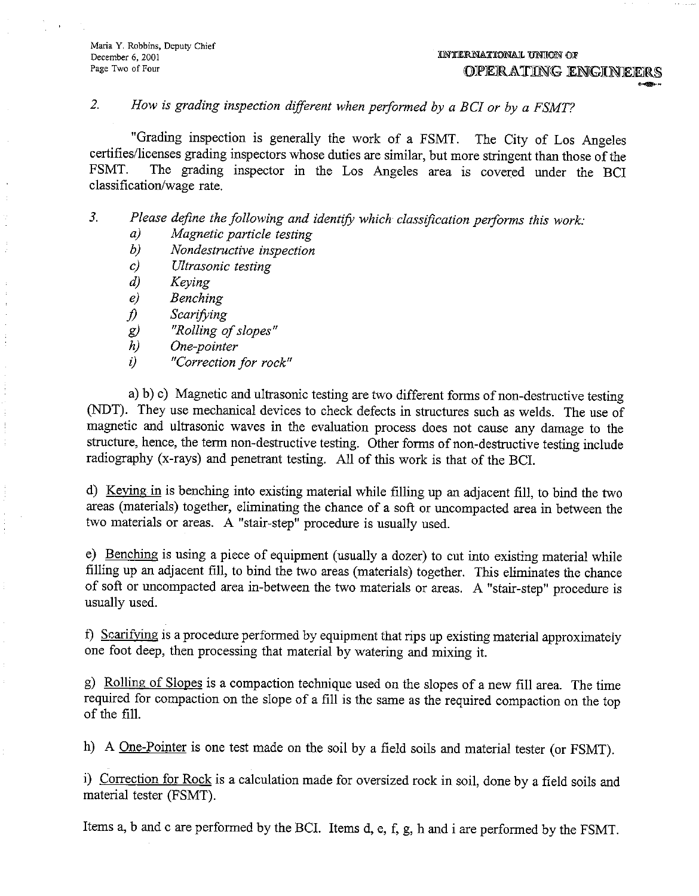**Maria Y. Robbins, Deputy Chief**  December 6, 2001 **Page Two of Four** 

#### *2. How* is *grading inspection different when performed by a BC! or by a FSMT?*

"Grading inspection is generally the work of a FSMT. The City of Los Angeles certifies/licenses grading inspectors whose duties are similar, but more stringent than those of the<br>FSMT. The grading inspector in the Los Angeles area is covered under the BCI The grading inspector in the Los Angeles area is covered under the BCI classification/wage rate.

*3. Please define the following and identify which classification performs this work:* 

- *a) Magnetic particle testing*
- *b) Nondestructive inspection*
- *c) Ultrasonic testing*
- *d) Keying*
- *e) Benching*
- *j) Scarifying*
- *g*) "Rolling of slopes"<br> *h*) One-pointer
- *h) One-pointer*
- *i) "Correction for rock"*

a) b) c) Magnetic and ultrasonic testing are two different forms of non-destructive testing (NDT). They use mechanical devices to check defects in structures such as welds. The use of magnetic and ultrasonic waves in the evaluation process does not cause any damage to the structure, hence, the term non-destructive testing. Other forms of non-destructive testing include radiography (x-rays) and penetrant testing. All of this work is that of the BCI.

d) Keying in is benching into existing material while filling up an adjacent fill, to bind the two areas (materials) together, eliminating the chance of a soft or uncompacted area in between the two materials or areas. A "stair-step" procedure is usually used.

e) Benching is using a piece of equipment (usually a dozer) to cut into existing material while filling up an adjacent fill, to bind the two areas (materials) together. This eliminates the chance of soft or uncompacted area in-between the two materials or areas. A "stair-step" procedure is usually used.

f) Scarifying is a procedure performed by equipment that rips up existing material approximately one foot deep, then processing that material by watering and mixing it.

g) Rolling of Slopes is a compaction technique used on the slopes of a new fill area. The time required for compaction on the slope of a fill is the same as the required compaction on the top of the fill.

h) A <u>One-Pointer</u> is one test made on the soil by a field soils and material tester (or FSMT).

i) Correction for Rock is a calculation made for oversized rock in soil, done by a field soils and material tester (FSMT).

Items a, b and c are performed by the BCI. Items d, e, f, g, h and i are performed by the FSMT.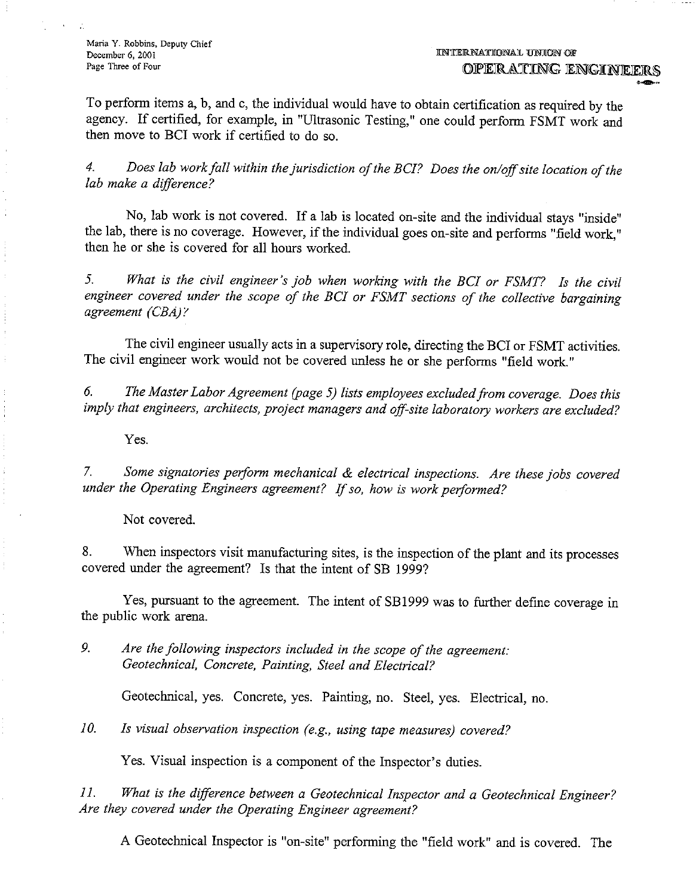**Maria Y. Robbins, Deputy Chief December 6, 2001 Page Three of Four** 

To perform items a, b, and c, the individual would have to obtain certification as required by the agency. If certified, for example, in "Ultrasonic Testing," one could perform FSMT work and then move to BCI work if certified to do so.

4. Does lab work fall within the jurisdiction of the BCI? Does the on/off site location of the *lab make a difference?* 

No, lab work is not covered. If a lab is located on-site and the individual stays "inside" the lab, there is no coverage. However, if the individual goes on-site and performs "field work," then he or she is covered for all hours worked.

*5. What is the civil engineer's job when working with the BC! or FSMT? ls the civil*  engineer covered under the scope of the BCI or FSMT sections of the collective bargaining *agreement (CBA)* r

The civil engineer usually acts in a supervisory role, directing the BCI or FSMT activities. The civil engineer work would not be covered unless he or she performs "field work."

*6. The Master Labor Agreement (page 5) lists employees excluded from coverage. Does this imply that engineers, architects, project managers and off-site laboratory workers are excluded?* 

Yes.

7. *Some signatories perform mechanical & electrical inspections. Are these jobs covered under the Operating Engineers agreement? Ifso, how is work performed?* 

Not covered.

8. When inspectors visit manufacturing sites, is the inspection of the plant and its processes covered under the agreement? Is that the intent of SB 1999?

Yes, pursuant to the agreement. The intent of SB 1999 was to further define coverage in the public work arena.

*9. Are the following inspectors included in the scope of the agreement: Geotechnical, Concrete, Painting, Steel and Electrical?* 

Geotechnical, yes. Concrete, yes. Painting, no. Steel, yes. Electrical, no.

*10. ls visual observation inspection (e.g., using tape measures) covered?* 

Yes. Visual inspection is a component of the Inspector's duties.

*11. What is the difference between a Geotechnical Inspector and a Geotechnical Engineer? Are they covered under the Operating Engineer agreement?* 

A Geotechnical Inspector is "on-site" performing the "field work" and is covered. The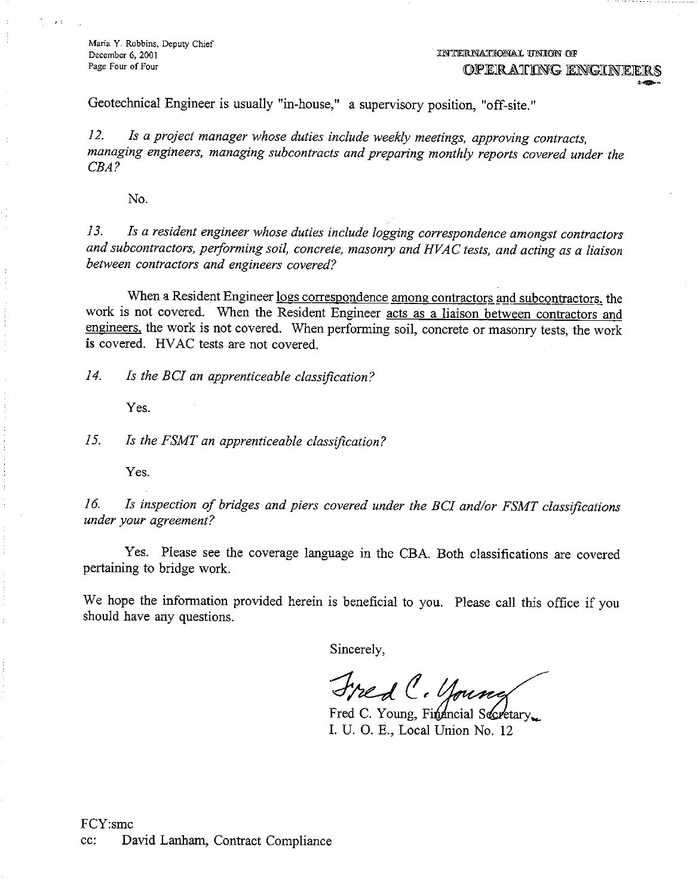**Maria Y. Robbins, Deputy Chief December 6, 2001 Page Four of Four** 

. . . . . . . . . . . . . . . .

Geotechnical Engineer is usually "in-house," a supervisory position, "off-site."

*12. Is a project manager whose duties include weekly meetings, approving contracts, managing engineers, managing subcontracts and preparing monthly reports covered under the CEA?* 

No.

*13. Is a resident engineer whose duties include logging correspondence amongst contractors and subcontractors, performing soil, concrete, masonry and HVAC tests, and acting as a liaison between contractors and engineers covered?* 

When a Resident Engineer logs correspondence among contractors and subcontractors, the work is not covered. When the Resident Engineer acts as a liaison between contractors and engineers, the work is not covered. When performing soil, concrete or masonry tests, the work is covered. HV AC tests are not covered.

*14. Is the BC/ an apprenticeable classification?* 

Yes.

*15. Is the FSMT an apprenticeable classification?* 

Yes.

*16. Is inspection of bridges and piers covered under the BC/ and/or FSMT classifications under your agreement?* 

Yes. Please see the coverage language in the CBA. Both classifications are covered pertaining to bridge work.

We hope the information provided herein is beneficial to you. Please call this office if you should have any questions.

Sincerely,

Fred C. Young

Fred C. Young, Financial Secretary... I. U. 0. E., Local Union No. 12